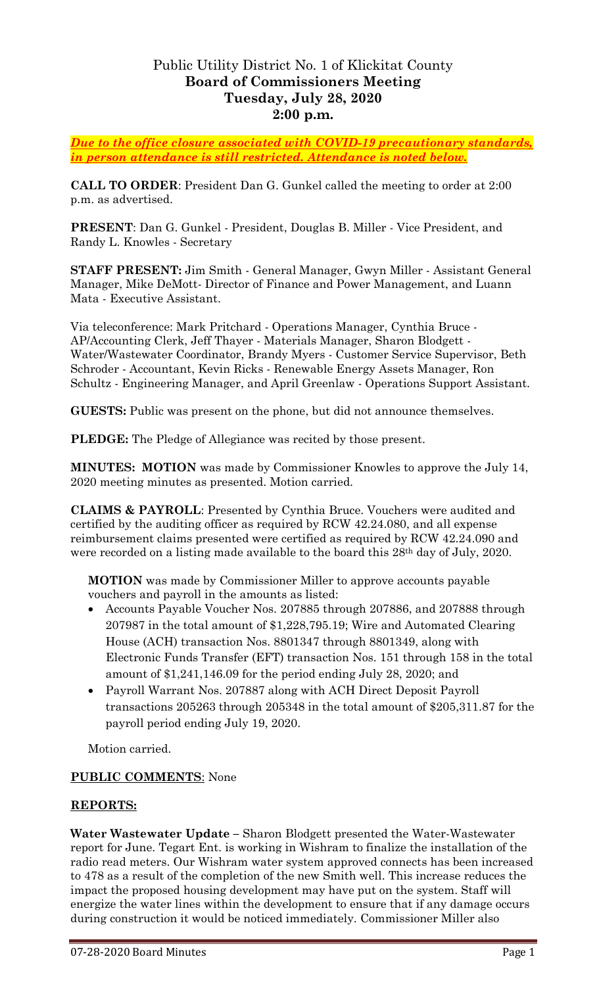# Public Utility District No. 1 of Klickitat County **Board of Commissioners Meeting Tuesday, July 28, 2020 2:00 p.m.**

*Due to the office closure associated with COVID-19 precautionary standards, in person attendance is still restricted. Attendance is noted below.*

**CALL TO ORDER**: President Dan G. Gunkel called the meeting to order at 2:00 p.m. as advertised.

**PRESENT**: Dan G. Gunkel - President, Douglas B. Miller - Vice President, and Randy L. Knowles - Secretary

**STAFF PRESENT:** Jim Smith - General Manager, Gwyn Miller - Assistant General Manager, Mike DeMott- Director of Finance and Power Management, and Luann Mata - Executive Assistant.

Via teleconference: Mark Pritchard - Operations Manager, Cynthia Bruce - AP/Accounting Clerk, Jeff Thayer - Materials Manager, Sharon Blodgett - Water/Wastewater Coordinator, Brandy Myers - Customer Service Supervisor, Beth Schroder - Accountant, Kevin Ricks - Renewable Energy Assets Manager, Ron Schultz - Engineering Manager, and April Greenlaw - Operations Support Assistant.

**GUESTS:** Public was present on the phone, but did not announce themselves.

**PLEDGE:** The Pledge of Allegiance was recited by those present.

**MINUTES: MOTION** was made by Commissioner Knowles to approve the July 14, 2020 meeting minutes as presented. Motion carried.

**CLAIMS & PAYROLL**: Presented by Cynthia Bruce. Vouchers were audited and certified by the auditing officer as required by RCW 42.24.080, and all expense reimbursement claims presented were certified as required by RCW 42.24.090 and were recorded on a listing made available to the board this 28<sup>th</sup> day of July, 2020.

**MOTION** was made by Commissioner Miller to approve accounts payable vouchers and payroll in the amounts as listed:

- Accounts Payable Voucher Nos. 207885 through 207886, and 207888 through 207987 in the total amount of \$1,228,795.19; Wire and Automated Clearing House (ACH) transaction Nos. 8801347 through 8801349, along with Electronic Funds Transfer (EFT) transaction Nos. 151 through 158 in the total amount of \$1,241,146.09 for the period ending July 28, 2020; and
- Payroll Warrant Nos. 207887 along with ACH Direct Deposit Payroll transactions 205263 through 205348 in the total amount of \$205,311.87 for the payroll period ending July 19, 2020.

Motion carried.

### **PUBLIC COMMENTS**: None

## **REPORTS:**

**Water Wastewater Update –** Sharon Blodgett presented the Water-Wastewater report for June. Tegart Ent. is working in Wishram to finalize the installation of the radio read meters. Our Wishram water system approved connects has been increased to 478 as a result of the completion of the new Smith well. This increase reduces the impact the proposed housing development may have put on the system. Staff will energize the water lines within the development to ensure that if any damage occurs during construction it would be noticed immediately. Commissioner Miller also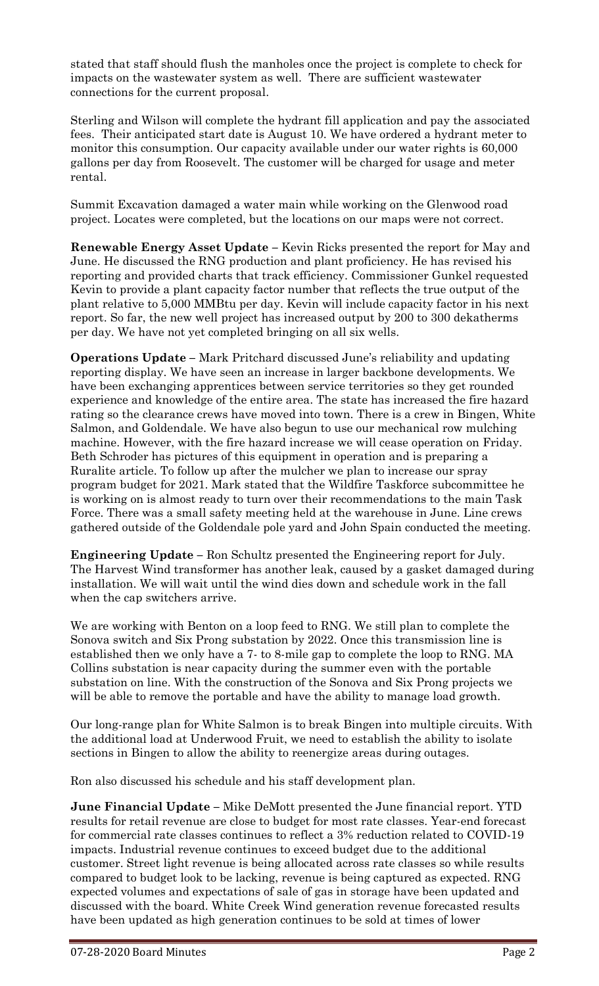stated that staff should flush the manholes once the project is complete to check for impacts on the wastewater system as well. There are sufficient wastewater connections for the current proposal.

Sterling and Wilson will complete the hydrant fill application and pay the associated fees. Their anticipated start date is August 10. We have ordered a hydrant meter to monitor this consumption. Our capacity available under our water rights is 60,000 gallons per day from Roosevelt. The customer will be charged for usage and meter rental.

Summit Excavation damaged a water main while working on the Glenwood road project. Locates were completed, but the locations on our maps were not correct.

**Renewable Energy Asset Update –** Kevin Ricks presented the report for May and June. He discussed the RNG production and plant proficiency. He has revised his reporting and provided charts that track efficiency. Commissioner Gunkel requested Kevin to provide a plant capacity factor number that reflects the true output of the plant relative to 5,000 MMBtu per day. Kevin will include capacity factor in his next report. So far, the new well project has increased output by 200 to 300 dekatherms per day. We have not yet completed bringing on all six wells.

**Operations Update –** Mark Pritchard discussed June's reliability and updating reporting display. We have seen an increase in larger backbone developments. We have been exchanging apprentices between service territories so they get rounded experience and knowledge of the entire area. The state has increased the fire hazard rating so the clearance crews have moved into town. There is a crew in Bingen, White Salmon, and Goldendale. We have also begun to use our mechanical row mulching machine. However, with the fire hazard increase we will cease operation on Friday. Beth Schroder has pictures of this equipment in operation and is preparing a Ruralite article. To follow up after the mulcher we plan to increase our spray program budget for 2021. Mark stated that the Wildfire Taskforce subcommittee he is working on is almost ready to turn over their recommendations to the main Task Force. There was a small safety meeting held at the warehouse in June. Line crews gathered outside of the Goldendale pole yard and John Spain conducted the meeting.

**Engineering Update –** Ron Schultz presented the Engineering report for July. The Harvest Wind transformer has another leak, caused by a gasket damaged during installation. We will wait until the wind dies down and schedule work in the fall when the cap switchers arrive.

We are working with Benton on a loop feed to RNG. We still plan to complete the Sonova switch and Six Prong substation by 2022. Once this transmission line is established then we only have a 7- to 8-mile gap to complete the loop to RNG. MA Collins substation is near capacity during the summer even with the portable substation on line. With the construction of the Sonova and Six Prong projects we will be able to remove the portable and have the ability to manage load growth.

Our long-range plan for White Salmon is to break Bingen into multiple circuits. With the additional load at Underwood Fruit, we need to establish the ability to isolate sections in Bingen to allow the ability to reenergize areas during outages.

Ron also discussed his schedule and his staff development plan.

**June Financial Update –** Mike DeMott presented the June financial report. YTD results for retail revenue are close to budget for most rate classes. Year-end forecast for commercial rate classes continues to reflect a 3% reduction related to COVID-19 impacts. Industrial revenue continues to exceed budget due to the additional customer. Street light revenue is being allocated across rate classes so while results compared to budget look to be lacking, revenue is being captured as expected. RNG expected volumes and expectations of sale of gas in storage have been updated and discussed with the board. White Creek Wind generation revenue forecasted results have been updated as high generation continues to be sold at times of lower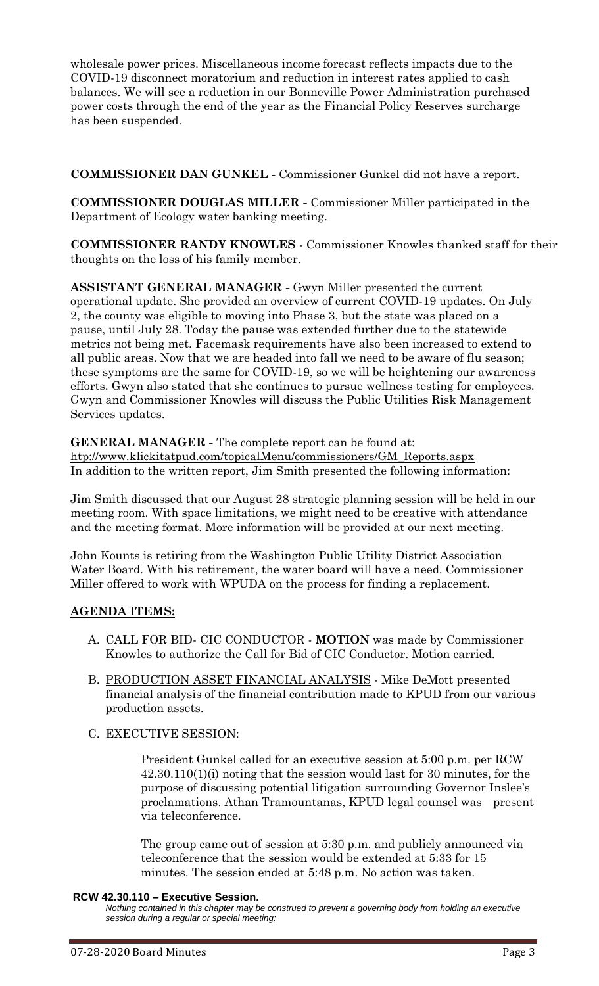wholesale power prices. Miscellaneous income forecast reflects impacts due to the COVID-19 disconnect moratorium and reduction in interest rates applied to cash balances. We will see a reduction in our Bonneville Power Administration purchased power costs through the end of the year as the Financial Policy Reserves surcharge has been suspended.

**COMMISSIONER DAN GUNKEL -** Commissioner Gunkel did not have a report.

**COMMISSIONER DOUGLAS MILLER -** Commissioner Miller participated in the Department of Ecology water banking meeting.

**COMMISSIONER RANDY KNOWLES** - Commissioner Knowles thanked staff for their thoughts on the loss of his family member.

**ASSISTANT GENERAL MANAGER -** Gwyn Miller presented the current operational update. She provided an overview of current COVID-19 updates. On July 2, the county was eligible to moving into Phase 3, but the state was placed on a pause, until July 28. Today the pause was extended further due to the statewide metrics not being met. Facemask requirements have also been increased to extend to all public areas. Now that we are headed into fall we need to be aware of flu season; these symptoms are the same for COVID-19, so we will be heightening our awareness efforts. Gwyn also stated that she continues to pursue wellness testing for employees. Gwyn and Commissioner Knowles will discuss the Public Utilities Risk Management Services updates.

**GENERAL MANAGER -** The complete report can be found at: [htp://www.klickitatpud.com/topicalMenu/commissioners/GM\\_Reports.aspx](http://www.klickitatpud.com/topicalMenu/commissioners/GM_Reports.aspx) In addition to the written report, Jim Smith presented the following information:

Jim Smith discussed that our August 28 strategic planning session will be held in our meeting room. With space limitations, we might need to be creative with attendance and the meeting format. More information will be provided at our next meeting.

John Kounts is retiring from the Washington Public Utility District Association Water Board. With his retirement, the water board will have a need. Commissioner Miller offered to work with WPUDA on the process for finding a replacement.

## **AGENDA ITEMS:**

- A. CALL FOR BID- CIC CONDUCTOR **MOTION** was made by Commissioner Knowles to authorize the Call for Bid of CIC Conductor. Motion carried.
- B. PRODUCTION ASSET FINANCIAL ANALYSIS Mike DeMott presented financial analysis of the financial contribution made to KPUD from our various production assets.
- C. EXECUTIVE SESSION:

President Gunkel called for an executive session at 5:00 p.m. per RCW 42.30.110(1)(i) noting that the session would last for 30 minutes, for the purpose of discussing potential litigation surrounding Governor Inslee's proclamations. Athan Tramountanas, KPUD legal counsel was present via teleconference.

The group came out of session at 5:30 p.m. and publicly announced via teleconference that the session would be extended at 5:33 for 15 minutes. The session ended at 5:48 p.m. No action was taken.

### **RCW 42.30.110 – Executive Session.**

*Nothing contained in this chapter may be construed to prevent a governing body from holding an executive session during a regular or special meeting:*